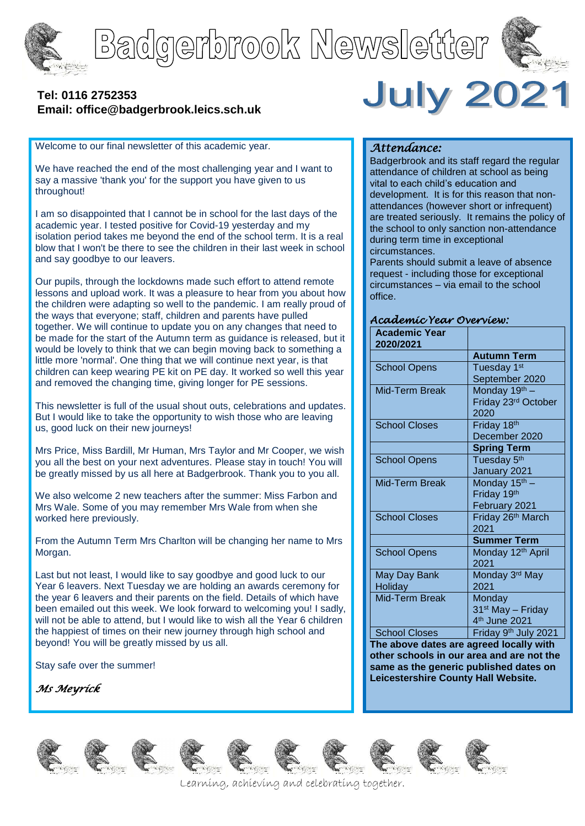

# Badgerbrook Newsletter



## **[Tel: 0116](tel:0116) 2752353 Email: office@badgerbrook.leics.sch.uk**

Welcome to our final newsletter of this academic year.

We have reached the end of the most challenging year and I want to say a massive 'thank you' for the support you have given to us throughout!

I am so disappointed that I cannot be in school for the last days of the academic year. I tested positive for Covid-19 yesterday and my isolation period takes me beyond the end of the school term. It is a real blow that I won't be there to see the children in their last week in school and say goodbye to our leavers.

Our pupils, through the lockdowns made such effort to attend remote lessons and upload work. It was a pleasure to hear from you about how the children were adapting so well to the pandemic. I am really proud of the ways that everyone; staff, children and parents have pulled together. We will continue to update you on any changes that need to be made for the start of the Autumn term as guidance is released, but it would be lovely to think that we can begin moving back to something a little more 'normal'. One thing that we will continue next year, is that children can keep wearing PE kit on PE day. It worked so well this year and removed the changing time, giving longer for PE sessions.

This newsletter is full of the usual shout outs, celebrations and updates. But I would like to take the opportunity to wish those who are leaving us, good luck on their new journeys!

Mrs Price, Miss Bardill, Mr Human, Mrs Taylor and Mr Cooper, we wish you all the best on your next adventures. Please stay in touch! You will be greatly missed by us all here at Badgerbrook. Thank you to you all.

We also welcome 2 new teachers after the summer: Miss Farbon and Mrs Wale. Some of you may remember Mrs Wale from when she worked here previously.

From the Autumn Term Mrs Charlton will be changing her name to Mrs Morgan.

Last but not least, I would like to say goodbye and good luck to our Year 6 leavers. Next Tuesday we are holding an awards ceremony for the year 6 leavers and their parents on the field. Details of which have been emailed out this week. We look forward to welcoming you! I sadly, will not be able to attend, but I would like to wish all the Year 6 children the happiest of times on their new journey through high school and beyond! You will be greatly missed by us all.

Stay safe over the summer!

*Ms Meyrick* 

















Learning, achieving and celebrating together.

#### *Attendance:*

Badgerbrook and its staff regard the regular attendance of children at school as being vital to each child's education and development. It is for this reason that nonattendances (however short or infrequent) are treated seriously. It remains the policy of the school to only sanction non-attendance during term time in exceptional circumstances.

**July 2021** 

Parents should submit a leave of absence request - including those for exceptional circumstances – via email to the school office.

#### *Academic Year Overview:*

| <b>Academic Year</b><br>2020/2021 |                                  |
|-----------------------------------|----------------------------------|
|                                   | <b>Autumn Term</b>               |
| <b>School Opens</b>               | Tuesday 1 <sup>st</sup>          |
|                                   | September 2020                   |
| Mid-Term Break                    | Monday 19th -                    |
|                                   | Friday 23rd October              |
|                                   | 2020                             |
| <b>School Closes</b>              | Friday 18 <sup>th</sup>          |
|                                   | December 2020                    |
|                                   | <b>Spring Term</b>               |
| <b>School Opens</b>               | Tuesday 5 <sup>th</sup>          |
|                                   | January 2021                     |
| Mid-Term Break                    | Monday 15 <sup>th</sup> -        |
|                                   | Friday 19th                      |
|                                   | February 2021                    |
| <b>School Closes</b>              | Friday 26 <sup>th</sup> March    |
|                                   | 2021                             |
|                                   | <b>Summer Term</b>               |
| <b>School Opens</b>               | Monday 12 <sup>th</sup> April    |
|                                   | 2021                             |
| May Day Bank                      | Monday 3rd May                   |
| <b>Holiday</b>                    | 2021                             |
| <b>Mid-Term Break</b>             | Monday                           |
|                                   | 31 <sup>st</sup> May - Friday    |
|                                   | 4 <sup>th</sup> June 2021        |
| <b>School Closes</b>              | Friday 9 <sup>th</sup> July 2021 |

**The above dates are agreed locally with other schools in our area and are not the same as the generic published dates on Leicestershire County Hall Website.**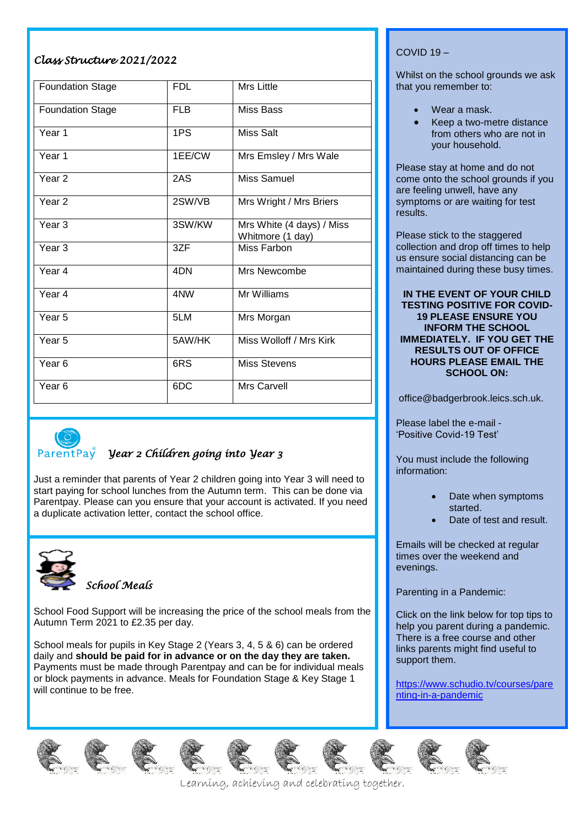## *Class Structure 2021/2022*

| <b>Foundation Stage</b> | <b>FDL</b> | <b>Mrs Little</b>                             |
|-------------------------|------------|-----------------------------------------------|
| <b>Foundation Stage</b> | <b>FLB</b> | Miss Bass                                     |
| Year $\overline{1}$     | 1PS        | <b>Miss Salt</b>                              |
| Year 1                  | 1EE/CW     | Mrs Emsley / Mrs Wale                         |
| Year <sub>2</sub>       | 2AS        | Miss Samuel                                   |
| Year <sub>2</sub>       | 2SW/VB     | Mrs Wright / Mrs Briers                       |
| Year <sub>3</sub>       | 3SW/KW     | Mrs White (4 days) / Miss<br>Whitmore (1 day) |
| Year <sub>3</sub>       | 3ZF        | Miss Farbon                                   |
| Year 4                  | 4DN        | Mrs Newcombe                                  |
| Year <sub>4</sub>       | 4NW        | Mr Williams                                   |
| Year <sub>5</sub>       | 5LM        | Mrs Morgan                                    |
| Year <sub>5</sub>       | 5AW/HK     | Miss Wolloff / Mrs Kirk                       |
| Year <sub>6</sub>       | 6RS        | <b>Miss Stevens</b>                           |
| Year <sub>6</sub>       | 6DC        | <b>Mrs Carvell</b>                            |



# *Year 2 Children going into Year 3*

Just a reminder that parents of Year 2 children going into Year 3 will need to start paying for school lunches from the Autumn term. This can be done via Parentpay. Please can you ensure that your account is activated. If you need a duplicate activation letter, contact the school office.



*School Meals*

School Food Support will be increasing the price of the school meals from the Autumn Term 2021 to £2.35 per day.

School meals for pupils in Key Stage 2 (Years 3, 4, 5 & 6) can be ordered daily and **should be paid for in advance or on the day they are taken.** Payments must be made through Parentpay and can be for individual meals or block payments in advance. Meals for Foundation Stage & Key Stage 1 will continue to be free.

## COVID 19 –

Whilst on the school grounds we ask that you remember to:

- Wear a mask.
- Keep a two-metre distance from others who are not in your household.

Please stay at home and do not come onto the school grounds if you are feeling unwell, have any symptoms or are waiting for test results.

Please stick to the staggered collection and drop off times to help us ensure social distancing can be maintained during these busy times.

#### **IN THE EVENT OF YOUR CHILD TESTING POSITIVE FOR COVID-19 PLEASE ENSURE YOU INFORM THE SCHOOL IMMEDIATELY. IF YOU GET THE RESULTS OUT OF OFFICE HOURS PLEASE EMAIL THE SCHOOL ON:**

office@badgerbrook.leics.sch.uk.

Please label the e-mail - 'Positive Covid-19 Test'

You must include the following information:

- Date when symptoms started.
- Date of test and result.

Emails will be checked at regular times over the weekend and evenings.

Parenting in a Pandemic:

Click on the link below for top tips to help you parent during a pandemic. There is a free course and other links parents might find useful to support them.

[https://www.schudio.tv/courses/pare](https://www.schudio.tv/courses/parenting-in-a-pandemic) [nting-in-a-pandemic](https://www.schudio.tv/courses/parenting-in-a-pandemic)













Learning, achieving and celebrating together.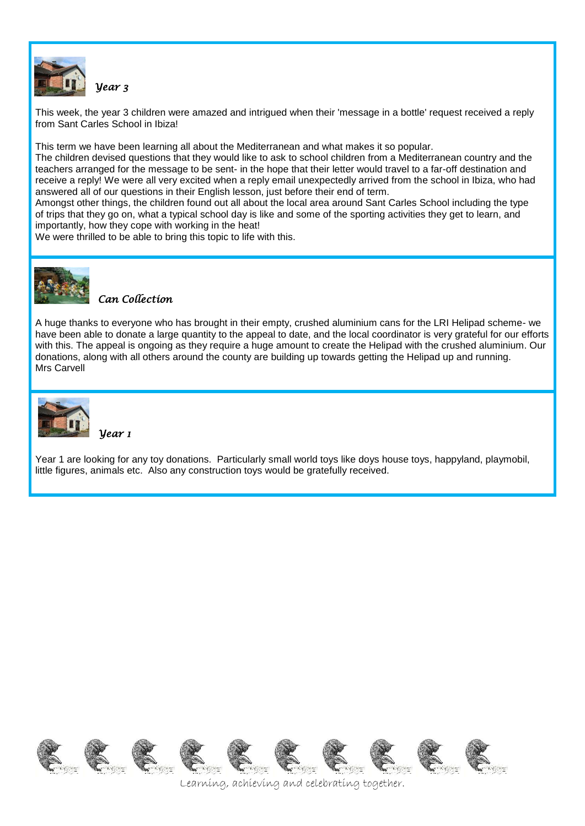

*Year 3* 

This week, the year 3 children were amazed and intrigued when their 'message in a bottle' request received a reply from Sant Carles School in Ibiza!

This term we have been learning all about the Mediterranean and what makes it so popular.

The children devised questions that they would like to ask to school children from a Mediterranean country and the teachers arranged for the message to be sent- in the hope that their letter would travel to a far-off destination and receive a reply! We were all very excited when a reply email unexpectedly arrived from the school in Ibiza, who had answered all of our questions in their English lesson, just before their end of term.

Amongst other things, the children found out all about the local area around Sant Carles School including the type of trips that they go on, what a typical school day is like and some of the sporting activities they get to learn, and importantly, how they cope with working in the heat!

We were thrilled to be able to bring this topic to life with this.



## *Can Collection*

A huge thanks to everyone who has brought in their empty, crushed aluminium cans for the LRI Helipad scheme- we have been able to donate a large quantity to the appeal to date, and the local coordinator is very grateful for our efforts with this. The appeal is ongoing as they require a huge amount to create the Helipad with the crushed aluminium. Our donations, along with all others around the county are building up towards getting the Helipad up and running. Mrs Carvell



*Year 1* 

Year 1 are looking for any toy donations. Particularly small world toys like doys house toys, happyland, playmobil, little figures, animals etc. Also any construction toys would be gratefully received.



Learning, achieving and celebrating together.